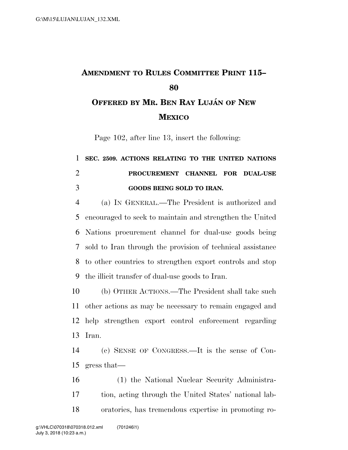## **AMENDMENT TO RULES COMMITTEE PRINT 115– OFFERED BY MR. BEN RAY LUJA´ N OF NEW**

**MEXICO**

Page 102, after line 13, insert the following:

## **SEC. 2509. ACTIONS RELATING TO THE UNITED NATIONS PROCUREMENT CHANNEL FOR DUAL-USE GOODS BEING SOLD TO IRAN.**

 (a) IN GENERAL.—The President is authorized and encouraged to seek to maintain and strengthen the United Nations procurement channel for dual-use goods being sold to Iran through the provision of technical assistance to other countries to strengthen export controls and stop the illicit transfer of dual-use goods to Iran.

 (b) OTHER ACTIONS.—The President shall take such other actions as may be necessary to remain engaged and help strengthen export control enforcement regarding Iran.

 (c) SENSE OF CONGRESS.—It is the sense of Con-gress that—

 (1) the National Nuclear Security Administra- tion, acting through the United States' national lab-oratories, has tremendous expertise in promoting ro-